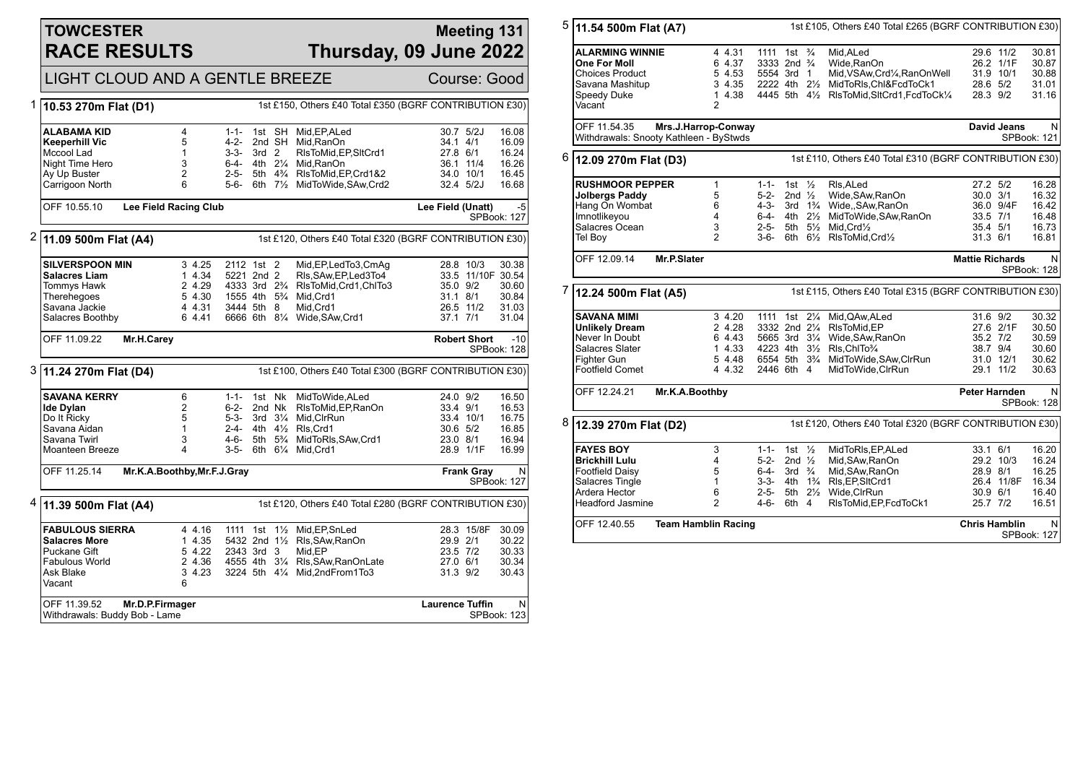#### **TOWCESTER RACE RESULTS**

#### **Meeting 131 Thursday, 09 June 2022**

# LIGHT CLOUD AND A GENTLE BREEZE Course: Good

| 1                                                                                    | 10.53 270m Flat (D1)                        |                             |                                                      |                                   |  | 1st £150, Others £40 Total £350 (BGRF CONTRIBUTION £30) |                        |                     |                             |
|--------------------------------------------------------------------------------------|---------------------------------------------|-----------------------------|------------------------------------------------------|-----------------------------------|--|---------------------------------------------------------|------------------------|---------------------|-----------------------------|
|                                                                                      | <b>ALABAMA KID</b><br><b>Keeperhill Vic</b> | 4<br>5                      | $1 - 1 -$<br>4-2-                                    |                                   |  | 1st SH Mid, EP, ALed<br>2nd SH Mid.RanOn                | 34.1 4/1               | 30.7 5/2J           | 16.08<br>16.09              |
|                                                                                      | Mccool Lad                                  | $\mathbf{1}$                | $3-3-$                                               | 3rd <sub>2</sub>                  |  | RIsToMid, EP, SItCrd1                                   | 27.8 6/1               |                     | 16.24                       |
|                                                                                      | Night Time Hero                             | 3                           |                                                      |                                   |  | 6-4- 4th 21/4 Mid, RanOn                                |                        | 36.1 11/4           | 16.26                       |
|                                                                                      | Ay Up Buster                                | $\overline{c}$              | $2 - 5 -$                                            |                                   |  | 5th 4% RIsToMid, EP, Crd1&2                             |                        | 34.0 10/1           | 16.45                       |
|                                                                                      | Carrigoon North                             | 6                           |                                                      |                                   |  | 5-6- 6th 71/2 MidToWide, SAw, Crd2                      |                        | 32.4 5/2J           | 16.68                       |
|                                                                                      | OFF 10.55.10                                | Lee Field Racing Club       |                                                      |                                   |  |                                                         | Lee Field (Unatt)      |                     | $-5$<br><b>SPBook: 127</b>  |
| 2<br>1st £120, Others £40 Total £320 (BGRF CONTRIBUTION £30)<br>11.09 500m Flat (A4) |                                             |                             |                                                      |                                   |  |                                                         |                        |                     |                             |
|                                                                                      | <b>SILVERSPOON MIN</b>                      | 3 4.25                      | 2112 1st 2                                           |                                   |  | Mid, EP, Led To 3, Cm Aq                                |                        | 28.8 10/3           | 30.38                       |
|                                                                                      | <b>Salacres Liam</b>                        | 1 4.34                      | 5221 2nd 2                                           |                                   |  | RIs, SAw, EP, Led 3To 4                                 |                        | 33.5 11/10F 30.54   |                             |
|                                                                                      | Tommys Hawk                                 | 2 4.29                      | 4333 3rd 2 <sup>3</sup> / <sub>4</sub>               |                                   |  | RIsToMid, Crd1, ChITo3                                  | 35.0 9/2               |                     | 30.60                       |
|                                                                                      | Therehegoes<br>Savana Jackie                | 5 4.30<br>4 4.31            | 1555 4th 5 <sup>3</sup> / <sub>4</sub><br>3444 5th 8 |                                   |  | Mid, Crd1<br>Mid.Crd1                                   | 31.1 8/1               | 26.5 11/2           | 30.84<br>31.03              |
|                                                                                      | Salacres Boothby                            | 6 4.41                      |                                                      |                                   |  | 6666 6th 81/4 Wide, SAw, Crd1                           | 37.1 7/1               |                     | 31.04                       |
|                                                                                      |                                             |                             |                                                      |                                   |  |                                                         |                        |                     |                             |
|                                                                                      | OFF 11.09.22                                | Mr.H.Carey                  |                                                      |                                   |  |                                                         |                        | <b>Robert Short</b> | $-10$<br><b>SPBook: 128</b> |
| 3                                                                                    | 11.24 270m Flat (D4)                        |                             |                                                      |                                   |  | 1st £100, Others £40 Total £300 (BGRF CONTRIBUTION £30) |                        |                     |                             |
|                                                                                      | <b>SAVANA KERRY</b>                         | 6                           |                                                      |                                   |  | 1-1- 1st Nk MidToWide.ALed                              | 24.0 9/2               |                     | 16.50                       |
|                                                                                      | <b>Ide Dylan</b>                            | $\overline{2}$              | 6-2- 2nd Nk                                          |                                   |  | RIsToMid, EP, RanOn                                     | 33.4 9/1               |                     | 16.53                       |
|                                                                                      | Do It Ricky                                 | 5                           | 5-3- 3rd 31/4                                        |                                   |  | Mid, CIrRun                                             |                        | 33.4 10/1           | 16.75                       |
|                                                                                      | Savana Aidan<br>Savana Twirl                | $\mathbf{1}$<br>3           | 4-6-                                                 | 5th 5 <sup>3</sup> / <sub>4</sub> |  | 2-4- 4th 41/2 RIs. Crd1<br>MidToRIs, SAw, Crd1          | 30.6 5/2               |                     | 16.85<br>16.94              |
|                                                                                      | Moanteen Breeze                             | 4                           | $3 - 5 -$                                            |                                   |  | 6th 61/4 Mid, Crd1                                      | 23.0 8/1               | 28.9 1/1F           | 16.99                       |
|                                                                                      |                                             |                             |                                                      |                                   |  |                                                         |                        |                     |                             |
|                                                                                      | OFF 11.25.14                                | Mr.K.A.Boothby, Mr.F.J.Gray |                                                      |                                   |  |                                                         |                        | <b>Frank Gray</b>   | $\mathsf{N}$<br>SPBook: 127 |
| 4                                                                                    | $ 11.39 500m$ Flat (A4)                     |                             |                                                      |                                   |  | 1st £120, Others £40 Total £280 (BGRF CONTRIBUTION £30) |                        |                     |                             |
|                                                                                      | <b>FABULOUS SIERRA</b>                      | 4 4.16                      |                                                      |                                   |  | 1111 1st 11/2 Mid, EP, Sn Led                           |                        | 28.3 15/8F          | 30.09                       |
|                                                                                      | <b>Salacres More</b>                        | 1 4.35                      |                                                      |                                   |  | 5432 2nd 11/2 Rls, SAw, RanOn                           | 29.9 2/1               |                     | 30.22                       |
|                                                                                      | Puckane Gift                                | 5 4.22                      | 2343 3rd 3                                           |                                   |  | Mid.EP                                                  | 23.5 7/2               |                     | 30.33                       |
|                                                                                      | <b>Fabulous World</b>                       | 2 4.36                      |                                                      |                                   |  | 4555 4th 31/4 Rls, SAw, RanOnLate                       | 27.0 6/1               |                     | 30.34                       |
|                                                                                      | Ask Blake<br>Vacant                         | 3 4.23<br>6                 | 3224 5th 41/4                                        |                                   |  | Mid,2ndFrom1To3                                         | 31.3 9/2               |                     | 30.43                       |
|                                                                                      |                                             |                             |                                                      |                                   |  |                                                         |                        |                     |                             |
|                                                                                      | OFF 11.39.52                                | Mr.D.P.Firmager             |                                                      |                                   |  |                                                         | <b>Laurence Tuffin</b> |                     | N                           |

| 5                                                                                    | 11.54 500m Flat (A7)                   |                                                                   | 1st £105, Others £40 Total £265 (BGRF CONTRIBUTION £30) |                           |                      |                                                         |                                                               |                        |             |                  |  |
|--------------------------------------------------------------------------------------|----------------------------------------|-------------------------------------------------------------------|---------------------------------------------------------|---------------------------|----------------------|---------------------------------------------------------|---------------------------------------------------------------|------------------------|-------------|------------------|--|
|                                                                                      |                                        |                                                                   |                                                         |                           |                      |                                                         |                                                               |                        |             |                  |  |
|                                                                                      | ALARMING WINNIE                        |                                                                   | 4 4.31                                                  | 1111 1st $\frac{3}{4}$    |                      |                                                         | Mid, ALed                                                     | 29.6 11/2              |             | 30.81            |  |
|                                                                                      | One For Moll                           |                                                                   | 6 4.37                                                  | 3333 2nd 3/4              |                      |                                                         | Wide, RanOn                                                   | 26.2 1/1F              |             | 30.87            |  |
|                                                                                      | <b>Choices Product</b>                 |                                                                   | 5 4.53                                                  | 5554 3rd 1                |                      |                                                         | Mid, VSAw, Crd <sup>1</sup> / <sub>4</sub> , RanOnWell        | 31.9 10/1              |             | 30.88            |  |
|                                                                                      | Savana Mashitup                        |                                                                   | 3 4.35                                                  |                           |                      |                                                         | 2222 4th 21/2 MidToRIs.Chl&FcdToCk1                           | 28.6 5/2               |             | 31.01            |  |
|                                                                                      | Speedy Duke                            |                                                                   | 1 4.38                                                  |                           |                      |                                                         | 4445 5th 41/2 RIsToMid, SItCrd1, FcdToCk1/4                   | 28.3 9/2               |             | 31.16            |  |
|                                                                                      | Vacant                                 | $\overline{2}$                                                    |                                                         |                           |                      |                                                         |                                                               |                        |             |                  |  |
|                                                                                      | OFF 11.54.35                           | Mrs.J.Harrop-Conway                                               |                                                         |                           |                      |                                                         |                                                               |                        | David Jeans | N                |  |
|                                                                                      | Withdrawals: Snooty Kathleen - ByStwds |                                                                   |                                                         |                           |                      |                                                         |                                                               |                        |             | SPBook: 121      |  |
| 6<br>1st £110, Others £40 Total £310 (BGRF CONTRIBUTION £30)<br>12.09 270m Flat (D3) |                                        |                                                                   |                                                         |                           |                      |                                                         |                                                               |                        |             |                  |  |
|                                                                                      | <b>RUSHMOOR PEPPER</b>                 | $\mathbf{1}$                                                      |                                                         | 1-1- 1st $\frac{1}{2}$    |                      |                                                         | RIs, ALed                                                     | 27.2 5/2               |             | 16.28            |  |
|                                                                                      | <b>Jolbergs Paddy</b>                  | 5                                                                 |                                                         | 5-2-                      | 2nd $\frac{1}{2}$    |                                                         | Wide, SAw, RanOn                                              | $30.0$ $3/1$           |             | 16.32            |  |
|                                                                                      | Hang On Wombat                         | 6                                                                 |                                                         |                           |                      |                                                         | 4-3- 3rd 1 <sup>3</sup> / <sub>4</sub> Wide, SAw, RanOn       |                        | 36.0 9/4F   | 16.42            |  |
|                                                                                      | Imnotlikeyou                           | 4                                                                 |                                                         | 6-4-                      | 4th 21/ <sub>2</sub> |                                                         | MidToWide, SAw, RanOn                                         | 33.5 7/1               |             | 16.48            |  |
|                                                                                      | Salacres Ocean                         | 3                                                                 |                                                         | $2 - 5 -$                 |                      |                                                         | 5th 51/2 Mid.Crd1/2                                           | 35.4 5/1               |             | 16.73            |  |
|                                                                                      | Tel Boy                                | $\overline{2}$                                                    |                                                         | $3-6-$                    |                      |                                                         | 6th 61/ <sub>2</sub> RIsToMid, Crd1/ <sub>2</sub>             | 31.3 6/1               |             | 16.81            |  |
|                                                                                      | OFF 12.09.14                           | Mr.P.Slater                                                       |                                                         |                           |                      |                                                         |                                                               | <b>Mattie Richards</b> |             | N<br>SPBook: 128 |  |
| 7<br>12.24 500m Flat (A5)                                                            |                                        |                                                                   |                                                         |                           |                      | 1st £115, Others £40 Total £315 (BGRF CONTRIBUTION £30) |                                                               |                        |             |                  |  |
|                                                                                      | <b>SAVANA MIMI</b>                     |                                                                   | 3 4.20                                                  | 1111 1st 21/ <sub>4</sub> |                      |                                                         | Mid,QAw,ALed                                                  | 31.6 9/2               |             | 30.32            |  |
|                                                                                      | <b>Unlikely Dream</b>                  |                                                                   | 2 4.28                                                  |                           |                      |                                                         | 3332 2nd 21/4 RIsToMid, EP                                    |                        | 27.6 2/1F   | 30.50            |  |
|                                                                                      | Never In Doubt                         |                                                                   | 6 4.43                                                  | 5665 3rd 31/4             |                      |                                                         | Wide, SAw, RanOn                                              | 35.2 7/2               |             | 30.59            |  |
|                                                                                      | Salacres Slater                        |                                                                   | 1 4.33                                                  | 4223 4th 31/2             |                      |                                                         | RIs, ChITo3/4                                                 | 38.7 9/4               |             | 30.60            |  |
|                                                                                      | Fighter Gun                            |                                                                   | 5 4.48                                                  |                           |                      |                                                         | 6554 5th 3 <sup>3</sup> / <sub>4</sub> MidToWide, SAw, ClrRun | 31.0 12/1              |             | 30.62            |  |
|                                                                                      | Footfield Comet                        |                                                                   | 4 4.32                                                  | 2446 6th 4                |                      |                                                         | MidToWide, CIrRun                                             | 29.1 11/2              |             | 30.63            |  |
|                                                                                      | OFF 12.24.21                           | Mr.K.A.Boothby                                                    |                                                         |                           |                      |                                                         |                                                               | Peter Harnden          |             | N<br>SPBook: 128 |  |
| 8                                                                                    | 12.39 270m Flat (D2)                   |                                                                   |                                                         |                           |                      |                                                         | 1st £120, Others £40 Total £320 (BGRF CONTRIBUTION £30)       |                        |             |                  |  |
|                                                                                      | <b>FAYES BOY</b>                       | 3                                                                 |                                                         | $1 - 1 -$                 | 1st $\frac{1}{2}$    |                                                         | MidToRIs, EP, ALed                                            | 33.1 6/1               |             | 16.20            |  |
|                                                                                      | <b>Brickhill Lulu</b>                  | 4                                                                 |                                                         | 5-2- 2nd $\frac{1}{2}$    |                      |                                                         | Mid, SAw, RanOn                                               | 29.2 10/3              |             | 16.24            |  |
|                                                                                      | Footfield Daisy                        | 5                                                                 |                                                         | 6-4-                      | 3rd $\frac{3}{4}$    |                                                         | Mid.SAw.RanOn                                                 | 28.9 8/1               |             | 16.25            |  |
|                                                                                      | Salacres Tingle                        | $\mathbf{1}$                                                      |                                                         |                           |                      |                                                         | 3-3- 4th 1% RIs, EP, SItCrd1                                  |                        | 26.4 11/8F  | 16.34            |  |
|                                                                                      | Ardera Hector                          | 6                                                                 |                                                         | 2-5-                      | 5th 21/ <sub>2</sub> |                                                         | Wide.CIrRun                                                   | 30.9 6/1               |             | 16.40            |  |
|                                                                                      | <b>Headford Jasmine</b>                | $\overline{2}$                                                    |                                                         | 4-6-                      | 6th 4                |                                                         | RIsToMid, EP, FcdToCk1                                        | 25.7 7/2               |             | 16.51            |  |
|                                                                                      | OFF 12.40.55                           | <b>Team Hamblin Racing</b><br><b>Chris Hamblin</b><br>SPBook: 127 |                                                         |                           |                      |                                                         |                                                               |                        |             | N                |  |